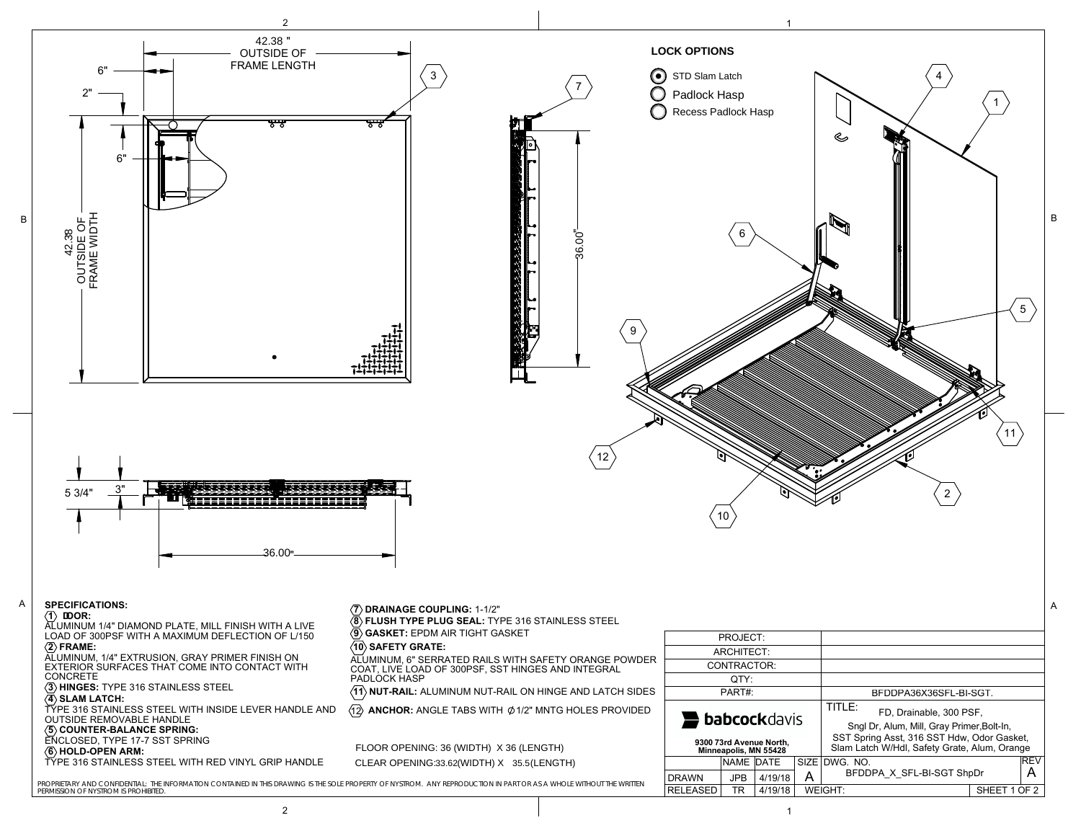FLOOR OPENING: 36 (WIDTH) X 36 (LENGTH) CLEAR OPENING:33.62(WIDTH) X 35.5(LENGTH) babcockdavis

**LOCK OPTIONS** STD Slam Latch O Padlock Hasp

Recess Padlock Hasp

 $\circ$ 

BFDDPA36X36SFL-BI-SGT.

36.00

36.00

42.38